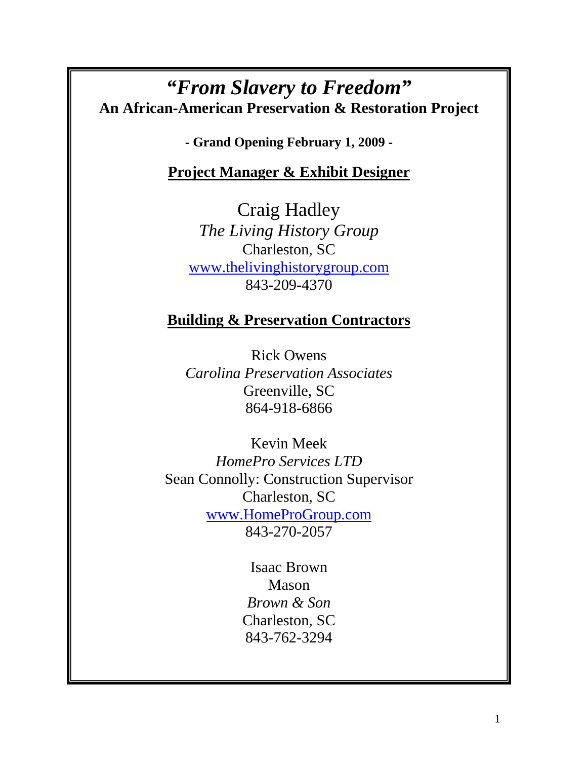# *"From Slavery to Freedom"*  **An African-American Preservation & Restoration Project**

**- Grand Opening February 1, 2009 -** 

# **Project Manager & Exhibit Designer**

Craig Hadley *The Living History Group*  Charleston, SC www.thelivinghistorygroup.com 843-209-4370

# **Building & Preservation Contractors**

Rick Owens *Carolina Preservation Associates*  Greenville, SC 864-918-6866

Kevin Meek *HomePro Services LTD*  Sean Connolly: Construction Supervisor Charleston, SC www.HomeProGroup.com 843-270-2057

> Isaac Brown Mason *Brown & Son*  Charleston, SC 843-762-3294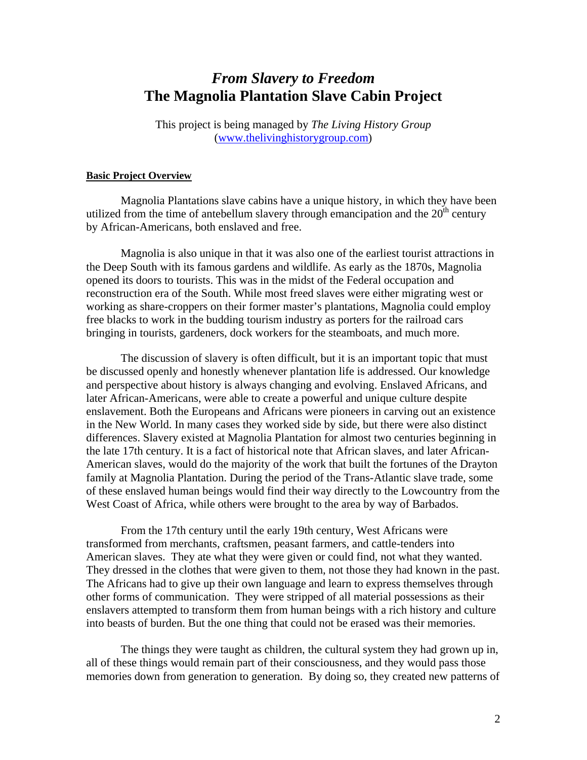## *From Slavery to Freedom* **The Magnolia Plantation Slave Cabin Project**

This project is being managed by *The Living History Group* (www.thelivinghistorygroup.com)

#### **Basic Project Overview**

Magnolia Plantations slave cabins have a unique history, in which they have been utilized from the time of antebellum slavery through emancipation and the  $20<sup>th</sup>$  century by African-Americans, both enslaved and free.

Magnolia is also unique in that it was also one of the earliest tourist attractions in the Deep South with its famous gardens and wildlife. As early as the 1870s, Magnolia opened its doors to tourists. This was in the midst of the Federal occupation and reconstruction era of the South. While most freed slaves were either migrating west or working as share-croppers on their former master's plantations, Magnolia could employ free blacks to work in the budding tourism industry as porters for the railroad cars bringing in tourists, gardeners, dock workers for the steamboats, and much more.

The discussion of slavery is often difficult, but it is an important topic that must be discussed openly and honestly whenever plantation life is addressed. Our knowledge and perspective about history is always changing and evolving. Enslaved Africans, and later African-Americans, were able to create a powerful and unique culture despite enslavement. Both the Europeans and Africans were pioneers in carving out an existence in the New World. In many cases they worked side by side, but there were also distinct differences. Slavery existed at Magnolia Plantation for almost two centuries beginning in the late 17th century. It is a fact of historical note that African slaves, and later African-American slaves, would do the majority of the work that built the fortunes of the Drayton family at Magnolia Plantation. During the period of the Trans-Atlantic slave trade, some of these enslaved human beings would find their way directly to the Lowcountry from the West Coast of Africa, while others were brought to the area by way of Barbados.

From the 17th century until the early 19th century, West Africans were transformed from merchants, craftsmen, peasant farmers, and cattle-tenders into American slaves. They ate what they were given or could find, not what they wanted. They dressed in the clothes that were given to them, not those they had known in the past. The Africans had to give up their own language and learn to express themselves through other forms of communication. They were stripped of all material possessions as their enslavers attempted to transform them from human beings with a rich history and culture into beasts of burden. But the one thing that could not be erased was their memories.

The things they were taught as children, the cultural system they had grown up in, all of these things would remain part of their consciousness, and they would pass those memories down from generation to generation. By doing so, they created new patterns of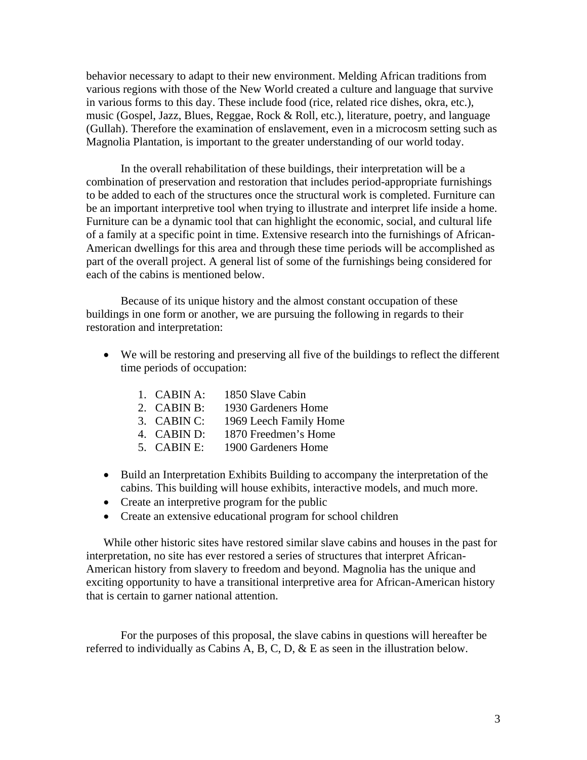behavior necessary to adapt to their new environment. Melding African traditions from various regions with those of the New World created a culture and language that survive in various forms to this day. These include food (rice, related rice dishes, okra, etc.), music (Gospel, Jazz, Blues, Reggae, Rock & Roll, etc.), literature, poetry, and language (Gullah). Therefore the examination of enslavement, even in a microcosm setting such as Magnolia Plantation, is important to the greater understanding of our world today.

In the overall rehabilitation of these buildings, their interpretation will be a combination of preservation and restoration that includes period-appropriate furnishings to be added to each of the structures once the structural work is completed. Furniture can be an important interpretive tool when trying to illustrate and interpret life inside a home. Furniture can be a dynamic tool that can highlight the economic, social, and cultural life of a family at a specific point in time. Extensive research into the furnishings of African-American dwellings for this area and through these time periods will be accomplished as part of the overall project. A general list of some of the furnishings being considered for each of the cabins is mentioned below.

Because of its unique history and the almost constant occupation of these buildings in one form or another, we are pursuing the following in regards to their restoration and interpretation:

- We will be restoring and preserving all five of the buildings to reflect the different time periods of occupation:
	- 1. CABIN A: 1850 Slave Cabin
	- 2. CABIN B: 1930 Gardeners Home
	- 3. CABIN C: 1969 Leech Family Home
	- 4. CABIN D: 1870 Freedmen's Home
	- 5. CABIN E: 1900 Gardeners Home
- Build an Interpretation Exhibits Building to accompany the interpretation of the cabins. This building will house exhibits, interactive models, and much more.
- Create an interpretive program for the public
- Create an extensive educational program for school children

While other historic sites have restored similar slave cabins and houses in the past for interpretation, no site has ever restored a series of structures that interpret African-American history from slavery to freedom and beyond. Magnolia has the unique and exciting opportunity to have a transitional interpretive area for African-American history that is certain to garner national attention.

 For the purposes of this proposal, the slave cabins in questions will hereafter be referred to individually as Cabins A, B, C, D,  $\&$  E as seen in the illustration below.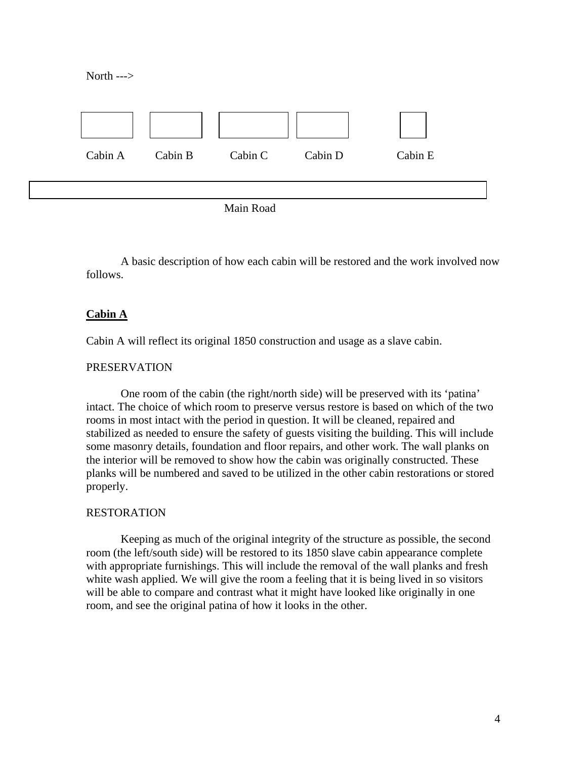North --->



Main Road

A basic description of how each cabin will be restored and the work involved now follows.

### **Cabin A**

Cabin A will reflect its original 1850 construction and usage as a slave cabin.

#### PRESERVATION

One room of the cabin (the right/north side) will be preserved with its 'patina' intact. The choice of which room to preserve versus restore is based on which of the two rooms in most intact with the period in question. It will be cleaned, repaired and stabilized as needed to ensure the safety of guests visiting the building. This will include some masonry details, foundation and floor repairs, and other work. The wall planks on the interior will be removed to show how the cabin was originally constructed. These planks will be numbered and saved to be utilized in the other cabin restorations or stored properly.

#### RESTORATION

Keeping as much of the original integrity of the structure as possible, the second room (the left/south side) will be restored to its 1850 slave cabin appearance complete with appropriate furnishings. This will include the removal of the wall planks and fresh white wash applied. We will give the room a feeling that it is being lived in so visitors will be able to compare and contrast what it might have looked like originally in one room, and see the original patina of how it looks in the other.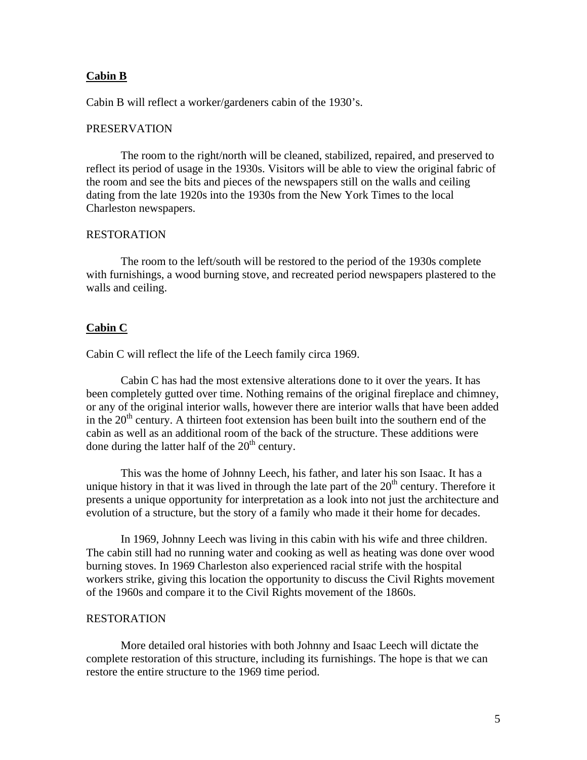#### **Cabin B**

Cabin B will reflect a worker/gardeners cabin of the 1930's.

#### PRESERVATION

The room to the right/north will be cleaned, stabilized, repaired, and preserved to reflect its period of usage in the 1930s. Visitors will be able to view the original fabric of the room and see the bits and pieces of the newspapers still on the walls and ceiling dating from the late 1920s into the 1930s from the New York Times to the local Charleston newspapers.

#### RESTORATION

The room to the left/south will be restored to the period of the 1930s complete with furnishings, a wood burning stove, and recreated period newspapers plastered to the walls and ceiling.

#### **Cabin C**

Cabin C will reflect the life of the Leech family circa 1969.

Cabin C has had the most extensive alterations done to it over the years. It has been completely gutted over time. Nothing remains of the original fireplace and chimney, or any of the original interior walls, however there are interior walls that have been added in the  $20<sup>th</sup>$  century. A thirteen foot extension has been built into the southern end of the cabin as well as an additional room of the back of the structure. These additions were done during the latter half of the  $20<sup>th</sup>$  century.

This was the home of Johnny Leech, his father, and later his son Isaac. It has a unique history in that it was lived in through the late part of the  $20<sup>th</sup>$  century. Therefore it presents a unique opportunity for interpretation as a look into not just the architecture and evolution of a structure, but the story of a family who made it their home for decades.

In 1969, Johnny Leech was living in this cabin with his wife and three children. The cabin still had no running water and cooking as well as heating was done over wood burning stoves. In 1969 Charleston also experienced racial strife with the hospital workers strike, giving this location the opportunity to discuss the Civil Rights movement of the 1960s and compare it to the Civil Rights movement of the 1860s.

#### RESTORATION

More detailed oral histories with both Johnny and Isaac Leech will dictate the complete restoration of this structure, including its furnishings. The hope is that we can restore the entire structure to the 1969 time period.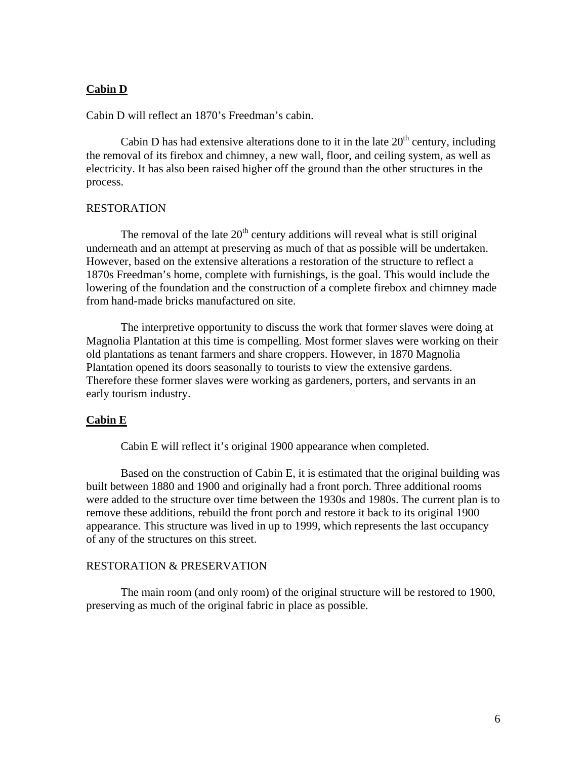### **Cabin D**

Cabin D will reflect an 1870's Freedman's cabin.

Cabin D has had extensive alterations done to it in the late  $20<sup>th</sup>$  century, including the removal of its firebox and chimney, a new wall, floor, and ceiling system, as well as electricity. It has also been raised higher off the ground than the other structures in the process.

#### RESTORATION

The removal of the late  $20<sup>th</sup>$  century additions will reveal what is still original underneath and an attempt at preserving as much of that as possible will be undertaken. However, based on the extensive alterations a restoration of the structure to reflect a 1870s Freedman's home, complete with furnishings, is the goal. This would include the lowering of the foundation and the construction of a complete firebox and chimney made from hand-made bricks manufactured on site.

 The interpretive opportunity to discuss the work that former slaves were doing at Magnolia Plantation at this time is compelling. Most former slaves were working on their old plantations as tenant farmers and share croppers. However, in 1870 Magnolia Plantation opened its doors seasonally to tourists to view the extensive gardens. Therefore these former slaves were working as gardeners, porters, and servants in an early tourism industry.

#### **Cabin E**

Cabin E will reflect it's original 1900 appearance when completed.

Based on the construction of Cabin E, it is estimated that the original building was built between 1880 and 1900 and originally had a front porch. Three additional rooms were added to the structure over time between the 1930s and 1980s. The current plan is to remove these additions, rebuild the front porch and restore it back to its original 1900 appearance. This structure was lived in up to 1999, which represents the last occupancy of any of the structures on this street.

### RESTORATION & PRESERVATION

 The main room (and only room) of the original structure will be restored to 1900, preserving as much of the original fabric in place as possible.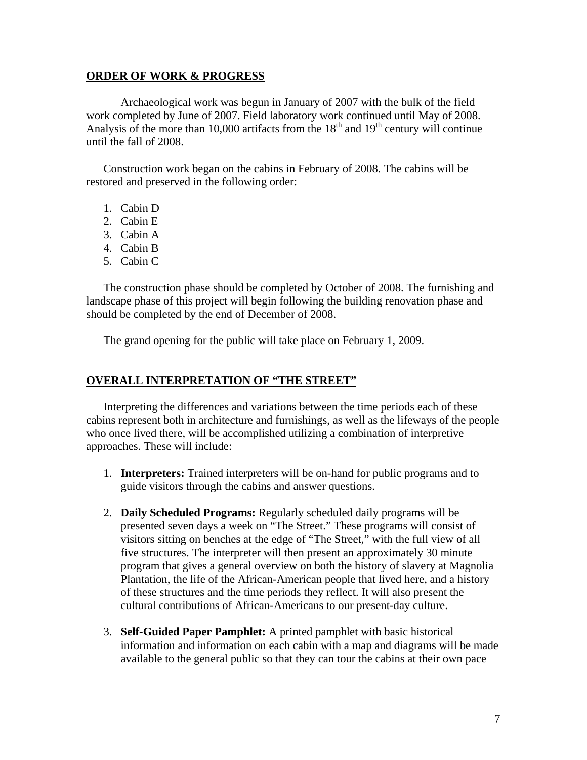#### **ORDER OF WORK & PROGRESS**

Archaeological work was begun in January of 2007 with the bulk of the field work completed by June of 2007. Field laboratory work continued until May of 2008. Analysis of the more than 10,000 artifacts from the  $18<sup>th</sup>$  and  $19<sup>th</sup>$  century will continue until the fall of 2008.

Construction work began on the cabins in February of 2008. The cabins will be restored and preserved in the following order:

- 1. Cabin D
- 2. Cabin E
- 3. Cabin A
- 4. Cabin B
- 5. Cabin C

The construction phase should be completed by October of 2008. The furnishing and landscape phase of this project will begin following the building renovation phase and should be completed by the end of December of 2008.

The grand opening for the public will take place on February 1, 2009.

#### **OVERALL INTERPRETATION OF "THE STREET"**

Interpreting the differences and variations between the time periods each of these cabins represent both in architecture and furnishings, as well as the lifeways of the people who once lived there, will be accomplished utilizing a combination of interpretive approaches. These will include:

- 1. **Interpreters:** Trained interpreters will be on-hand for public programs and to guide visitors through the cabins and answer questions.
- 2. **Daily Scheduled Programs:** Regularly scheduled daily programs will be presented seven days a week on "The Street." These programs will consist of visitors sitting on benches at the edge of "The Street," with the full view of all five structures. The interpreter will then present an approximately 30 minute program that gives a general overview on both the history of slavery at Magnolia Plantation, the life of the African-American people that lived here, and a history of these structures and the time periods they reflect. It will also present the cultural contributions of African-Americans to our present-day culture.
- 3. **Self-Guided Paper Pamphlet:** A printed pamphlet with basic historical information and information on each cabin with a map and diagrams will be made available to the general public so that they can tour the cabins at their own pace